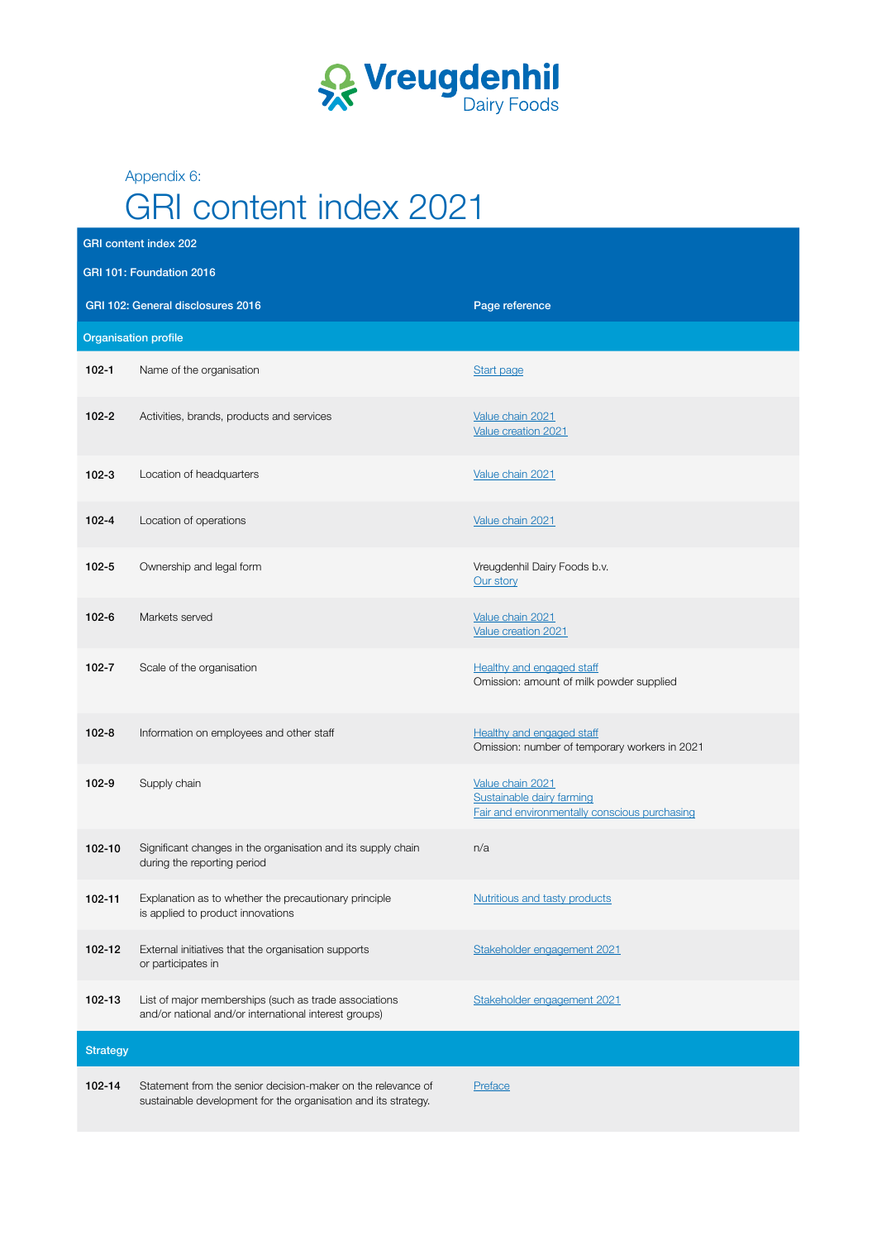

Appendix 6:

## GRI content index 2021

|                                                     | <b>GRI content index 202</b>                                                                                                   |                                                                                                |  |  |  |
|-----------------------------------------------------|--------------------------------------------------------------------------------------------------------------------------------|------------------------------------------------------------------------------------------------|--|--|--|
| GRI 101: Foundation 2016                            |                                                                                                                                |                                                                                                |  |  |  |
| GRI 102: General disclosures 2016<br>Page reference |                                                                                                                                |                                                                                                |  |  |  |
| <b>Organisation profile</b>                         |                                                                                                                                |                                                                                                |  |  |  |
| $102 - 1$                                           | Name of the organisation                                                                                                       | <b>Start page</b>                                                                              |  |  |  |
| $102 - 2$                                           | Activities, brands, products and services                                                                                      | Value chain 2021<br>Value creation 2021                                                        |  |  |  |
| $102 - 3$                                           | Location of headquarters                                                                                                       | Value chain 2021                                                                               |  |  |  |
| $102 - 4$                                           | Location of operations                                                                                                         | Value chain 2021                                                                               |  |  |  |
| $102 - 5$                                           | Ownership and legal form                                                                                                       | Vreugdenhil Dairy Foods b.v.<br>Our story                                                      |  |  |  |
| $102 - 6$                                           | Markets served                                                                                                                 | Value chain 2021<br>Value creation 2021                                                        |  |  |  |
| $102 - 7$                                           | Scale of the organisation                                                                                                      | <b>Healthy and engaged staff</b><br>Omission: amount of milk powder supplied                   |  |  |  |
| $102 - 8$                                           | Information on employees and other staff                                                                                       | <b>Healthy and engaged staff</b><br>Omission: number of temporary workers in 2021              |  |  |  |
| 102-9                                               | Supply chain                                                                                                                   | Value chain 2021<br>Sustainable dairy farming<br>Fair and environmentally conscious purchasing |  |  |  |
| $102 - 10$                                          | Significant changes in the organisation and its supply chain<br>during the reporting period                                    | n/a                                                                                            |  |  |  |
| 102-11                                              | Explanation as to whether the precautionary principle<br>is applied to product innovations                                     | <b>Nutritious and tasty products</b>                                                           |  |  |  |
| 102-12                                              | External initiatives that the organisation supports<br>or participates in                                                      | Stakeholder engagement 2021                                                                    |  |  |  |
| 102-13                                              | List of major memberships (such as trade associations<br>and/or national and/or international interest groups)                 | Stakeholder engagement 2021                                                                    |  |  |  |
| <b>Strategy</b>                                     |                                                                                                                                |                                                                                                |  |  |  |
| 102-14                                              | Statement from the senior decision-maker on the relevance of<br>sustainable development for the organisation and its strategy. | Preface                                                                                        |  |  |  |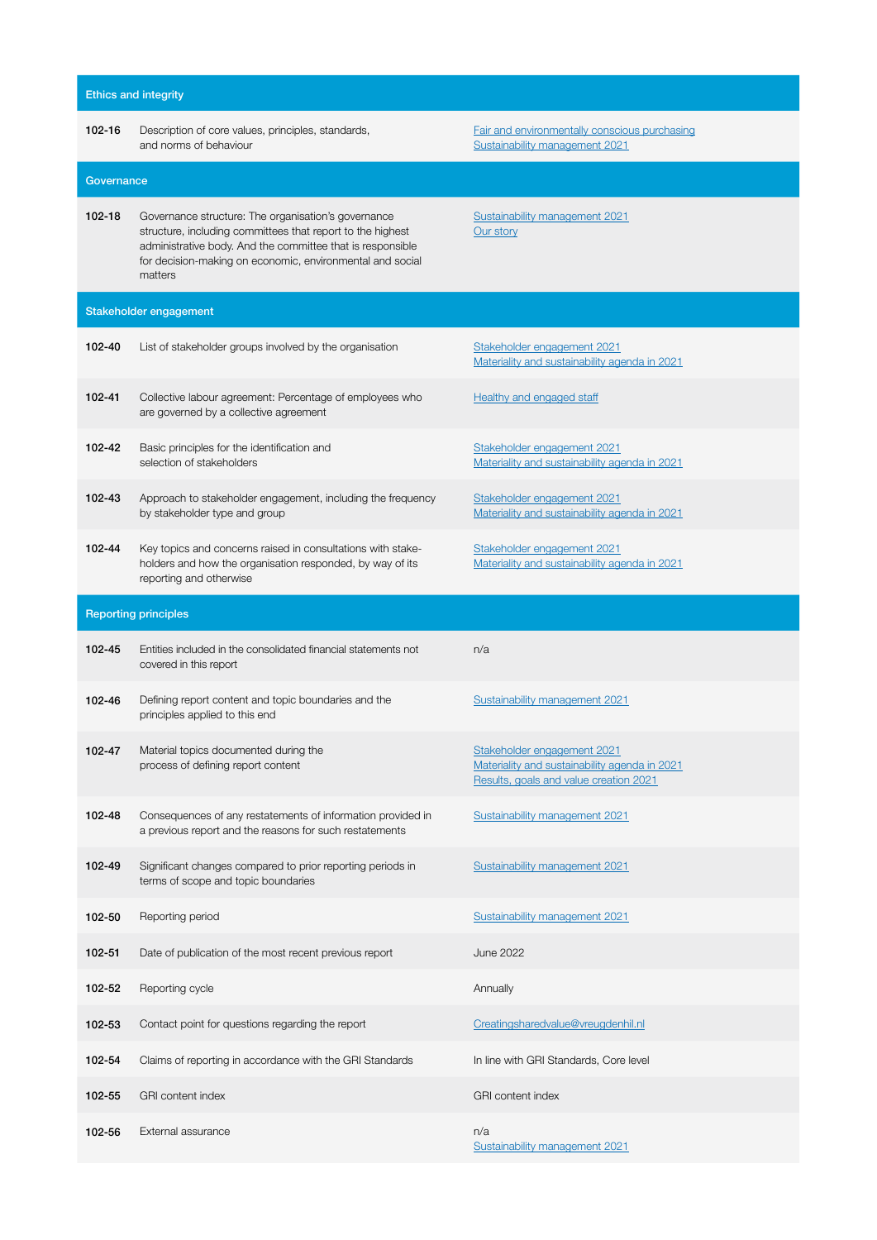| <b>Ethics and integrity</b> |                                                                                                                                                                                                                                                         |                                                                                                                               |  |  |  |
|-----------------------------|---------------------------------------------------------------------------------------------------------------------------------------------------------------------------------------------------------------------------------------------------------|-------------------------------------------------------------------------------------------------------------------------------|--|--|--|
| 102-16                      | Description of core values, principles, standards,<br>and norms of behaviour                                                                                                                                                                            | Fair and environmentally conscious purchasing<br>Sustainability management 2021                                               |  |  |  |
| Governance                  |                                                                                                                                                                                                                                                         |                                                                                                                               |  |  |  |
| 102-18                      | Governance structure: The organisation's governance<br>structure, including committees that report to the highest<br>administrative body. And the committee that is responsible<br>for decision-making on economic, environmental and social<br>matters | Sustainability management 2021<br>Our story                                                                                   |  |  |  |
|                             | Stakeholder engagement                                                                                                                                                                                                                                  |                                                                                                                               |  |  |  |
| 102-40                      | List of stakeholder groups involved by the organisation                                                                                                                                                                                                 | Stakeholder engagement 2021<br>Materiality and sustainability agenda in 2021                                                  |  |  |  |
| 102-41                      | Collective labour agreement: Percentage of employees who<br>are governed by a collective agreement                                                                                                                                                      | <b>Healthy and engaged staff</b>                                                                                              |  |  |  |
| 102-42                      | Basic principles for the identification and<br>selection of stakeholders                                                                                                                                                                                | Stakeholder engagement 2021<br>Materiality and sustainability agenda in 2021                                                  |  |  |  |
| 102-43                      | Approach to stakeholder engagement, including the frequency<br>by stakeholder type and group                                                                                                                                                            | Stakeholder engagement 2021<br>Materiality and sustainability agenda in 2021                                                  |  |  |  |
| 102-44                      | Key topics and concerns raised in consultations with stake-<br>holders and how the organisation responded, by way of its<br>reporting and otherwise                                                                                                     | Stakeholder engagement 2021<br>Materiality and sustainability agenda in 2021                                                  |  |  |  |
| <b>Reporting principles</b> |                                                                                                                                                                                                                                                         |                                                                                                                               |  |  |  |
| 102-45                      | Entities included in the consolidated financial statements not<br>covered in this report                                                                                                                                                                | n/a                                                                                                                           |  |  |  |
| 102-46                      | Defining report content and topic boundaries and the<br>principles applied to this end                                                                                                                                                                  | Sustainability management 2021                                                                                                |  |  |  |
| 102-47                      | Material topics documented during the<br>process of defining report content                                                                                                                                                                             | <u>Stakeholder engagement 2021</u><br>Materiality and sustainability agenda in 2021<br>Results, goals and value creation 2021 |  |  |  |
| 102-48                      | Consequences of any restatements of information provided in<br>a previous report and the reasons for such restatements                                                                                                                                  | Sustainability management 2021                                                                                                |  |  |  |
| 102-49                      | Significant changes compared to prior reporting periods in<br>terms of scope and topic boundaries                                                                                                                                                       | <b>Sustainability management 2021</b>                                                                                         |  |  |  |
| 102-50                      | Reporting period                                                                                                                                                                                                                                        | Sustainability management 2021                                                                                                |  |  |  |
| 102-51                      | Date of publication of the most recent previous report                                                                                                                                                                                                  | June 2022                                                                                                                     |  |  |  |
| 102-52                      | Reporting cycle                                                                                                                                                                                                                                         | Annually                                                                                                                      |  |  |  |
| 102-53                      | Contact point for questions regarding the report                                                                                                                                                                                                        | Creatingsharedvalue@vreugdenhil.nl                                                                                            |  |  |  |
| 102-54                      | Claims of reporting in accordance with the GRI Standards                                                                                                                                                                                                | In line with GRI Standards, Core level                                                                                        |  |  |  |
| 102-55                      | <b>GRI</b> content index                                                                                                                                                                                                                                | <b>GRI</b> content index                                                                                                      |  |  |  |
| 102-56                      | External assurance                                                                                                                                                                                                                                      | n/a<br>Sustainability management 2021                                                                                         |  |  |  |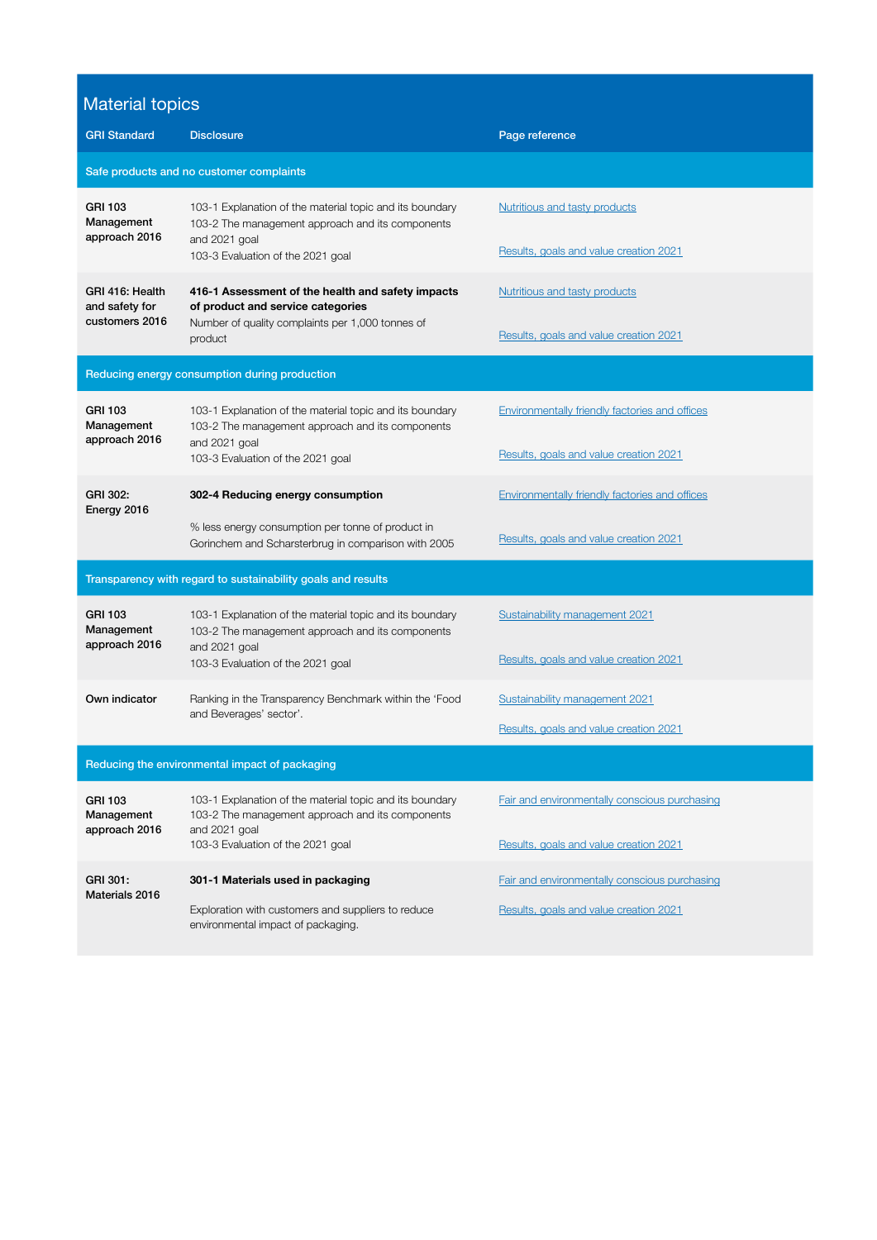## Material topics

| <b>GRI Standard</b>                                          | <b>Disclosure</b>                                                                                                                                                  | Page reference                                                          |  |  |  |
|--------------------------------------------------------------|--------------------------------------------------------------------------------------------------------------------------------------------------------------------|-------------------------------------------------------------------------|--|--|--|
| Safe products and no customer complaints                     |                                                                                                                                                                    |                                                                         |  |  |  |
| <b>GRI 103</b><br>Management<br>approach 2016                | 103-1 Explanation of the material topic and its boundary<br>103-2 The management approach and its components<br>and 2021 goal<br>103-3 Evaluation of the 2021 goal | Nutritious and tasty products<br>Results, goals and value creation 2021 |  |  |  |
| GRI 416: Health<br>and safety for<br>customers 2016          | 416-1 Assessment of the health and safety impacts<br>of product and service categories<br>Number of quality complaints per 1,000 tonnes of<br>product              | Nutritious and tasty products<br>Results, goals and value creation 2021 |  |  |  |
| Reducing energy consumption during production                |                                                                                                                                                                    |                                                                         |  |  |  |
| <b>GRI 103</b><br>Management                                 | 103-1 Explanation of the material topic and its boundary<br>103-2 The management approach and its components                                                       | Environmentally friendly factories and offices                          |  |  |  |
| approach 2016                                                | and 2021 goal<br>103-3 Evaluation of the 2021 goal                                                                                                                 | Results, goals and value creation 2021                                  |  |  |  |
| GRI 302:<br>Energy 2016                                      | 302-4 Reducing energy consumption                                                                                                                                  | Environmentally friendly factories and offices                          |  |  |  |
|                                                              | % less energy consumption per tonne of product in<br>Gorinchem and Scharsterbrug in comparison with 2005                                                           | Results, goals and value creation 2021                                  |  |  |  |
| Transparency with regard to sustainability goals and results |                                                                                                                                                                    |                                                                         |  |  |  |
| <b>GRI 103</b><br>Management<br>approach 2016                | 103-1 Explanation of the material topic and its boundary<br>103-2 The management approach and its components<br>and 2021 goal<br>103-3 Evaluation of the 2021 goal | Sustainability management 2021                                          |  |  |  |
|                                                              |                                                                                                                                                                    | Results, goals and value creation 2021                                  |  |  |  |
| Own indicator                                                | Ranking in the Transparency Benchmark within the 'Food<br>and Beverages' sector'.                                                                                  | Sustainability management 2021                                          |  |  |  |
|                                                              |                                                                                                                                                                    | Results, goals and value creation 2021                                  |  |  |  |
| Reducing the environmental impact of packaging               |                                                                                                                                                                    |                                                                         |  |  |  |
| <b>GRI 103</b><br>Management<br>approach 2016                | 103-1 Explanation of the material topic and its boundary<br>103-2 The management approach and its components<br>and 2021 goal                                      | Fair and environmentally conscious purchasing                           |  |  |  |
|                                                              | 103-3 Evaluation of the 2021 goal                                                                                                                                  | Results, goals and value creation 2021                                  |  |  |  |
| GRI 301:<br>Materials 2016                                   | 301-1 Materials used in packaging                                                                                                                                  | Fair and environmentally conscious purchasing                           |  |  |  |
|                                                              | Exploration with customers and suppliers to reduce<br>environmental impact of packaging.                                                                           | Results, goals and value creation 2021                                  |  |  |  |